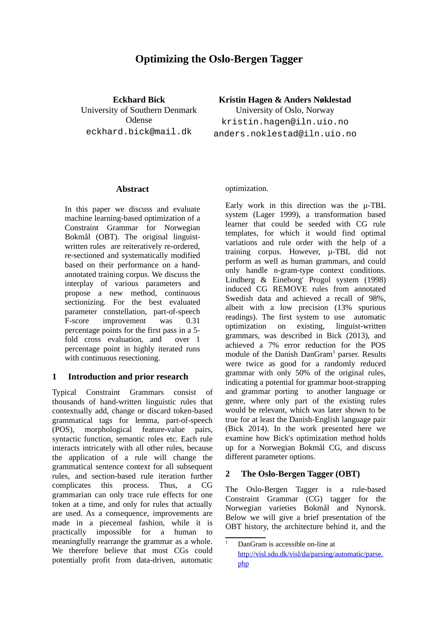# **Optimizing the Oslo-Bergen Tagger**

**Eckhard Bick** University of Southern Denmark Odense eckhard.bick@mail.dk

**Kristin Hagen & Anders Nøklestad**

University of Oslo, Norway kristin.hagen@iln.uio.no anders.noklestad@iln.uio.no

## **Abstract**

In this paper we discuss and evaluate machine learning-based optimization of a Constraint Grammar for Norwegian Bokmål (OBT). The original linguistwritten rules are reiteratively re-ordered, re-sectioned and systematically modified based on their performance on a handannotated training corpus. We discuss the interplay of various parameters and propose a new method, continuous sectionizing. For the best evaluated parameter constellation, part-of-speech F-score improvement was 0.31 percentage points for the first pass in a 5 fold cross evaluation, and over 1 percentage point in highly iterated runs with continuous resectioning.

## **1 Introduction and prior research**

Typical Constraint Grammars consist of thousands of hand-written linguistic rules that contextually add, change or discard token-based grammatical tags for lemma, part-of-speech (POS), morphological feature-value pairs, syntactic function, semantic roles etc. Each rule interacts intricately with all other rules, because the application of a rule will change the grammatical sentence context for all subsequent rules, and section-based rule iteration further complicates this process. Thus, a CG grammarian can only trace rule effects for one token at a time, and only for rules that actually are used. As a consequence, improvements are made in a piecemeal fashion, while it is practically impossible for a human to meaningfully rearrange the grammar as a whole. We therefore believe that most CGs could potentially profit from data-driven, automatic

optimization.

Early work in this direction was the µ-TBL system (Lager 1999), a transformation based learner that could be seeded with CG rule templates, for which it would find optimal variations and rule order with the help of a training corpus. However, µ-TBL did not perform as well as human grammars, and could only handle n-gram-type context conditions. Lindberg & Eineborg' Progol system (1998) induced CG REMOVE rules from annotated Swedish data and achieved a recall of 98%, albeit with a low precision (13% spurious readings). The first system to use automatic optimization on existing, linguist-written grammars, was described in Bick (2013), and achieved a 7% error reduction for the POS module of the Danish DanGram<sup>[1](#page-0-0)</sup> parser. Results were twice as good for a randomly reduced grammar with only 50% of the original rules, indicating a potential for grammar boot-strapping and grammar porting to another language or genre, where only part of the existing rules would be relevant, which was later shown to be true for at least the Danish-English language pair (Bick 2014). In the work presented here we examine how Bick's optimization method holds up for a Norwegian Bokmål CG, and discuss different parameter options.

# **2 The Oslo-Bergen Tagger (OBT)**

The Oslo-Bergen Tagger is a rule-based Constraint Grammar (CG) tagger for the Norwegian varieties Bokmål and Nynorsk. Below we will give a brief presentation of the OBT history, the architecture behind it, and the

<span id="page-0-0"></span>DanGram is accessible on-line at [http://visl.sdu.dk/visl/da/parsing/automatic/parse.](http://visl.sdu.dk/visl/da/parsing/automatic/parse.php) [php](http://visl.sdu.dk/visl/da/parsing/automatic/parse.php)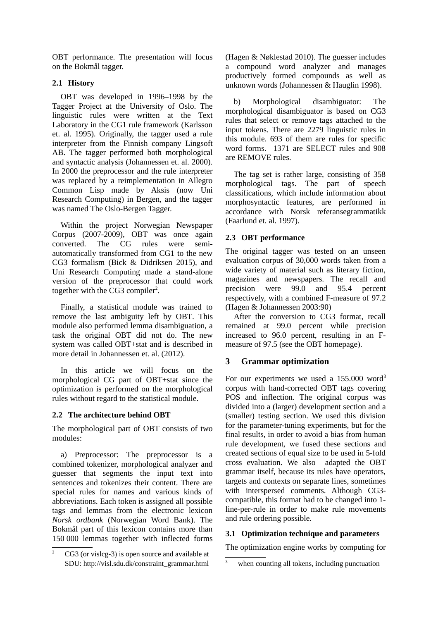OBT performance. The presentation will focus on the Bokmål tagger.

## **2.1 History**

OBT was developed in 1996–1998 by the Tagger Project at the University of Oslo. The linguistic rules were written at the Text Laboratory in the CG1 rule framework (Karlsson et. al. 1995). Originally, the tagger used a rule interpreter from the Finnish company Lingsoft AB. The tagger performed both morphological and syntactic analysis (Johannessen et. al. 2000). In 2000 the preprocessor and the rule interpreter was replaced by a reimplementation in Allegro Common Lisp made by Aksis (now Uni Research Computing) in Bergen, and the tagger was named The Oslo-Bergen Tagger.

Within the project Norwegian Newspaper Corpus (2007-2009), OBT was once again converted. The CG rules were semiautomatically transformed from CG1 to the new CG3 formalism (Bick & Didriksen 2015), and Uni Research Computing made a stand-alone version of the preprocessor that could work together with the CG3 compiler<sup>[2](#page-1-0)</sup>.

Finally, a statistical module was trained to remove the last ambiguity left by OBT. This module also performed lemma disambiguation, a task the original OBT did not do. The new system was called OBT+stat and is described in more detail in Johannessen et. al. (2012).

In this article we will focus on the morphological CG part of OBT+stat since the optimization is performed on the morphological rules without regard to the statistical module.

## **2.2 The architecture behind OBT**

The morphological part of OBT consists of two modules:

a) Preprocessor: The preprocessor is a combined tokenizer, morphological analyzer and guesser that segments the input text into sentences and tokenizes their content. There are special rules for names and various kinds of abbreviations. Each token is assigned all possible tags and lemmas from the electronic lexicon *Norsk ordbank* (Norwegian Word Bank). The Bokmål part of this lexicon contains more than 150 000 lemmas together with inflected forms (Hagen & Nøklestad 2010). The guesser includes a compound word analyzer and manages productively formed compounds as well as unknown words (Johannessen & Hauglin 1998).

b) Morphological disambiguator: The morphological disambiguator is based on CG3 rules that select or remove tags attached to the input tokens. There are 2279 linguistic rules in this module. 693 of them are rules for specific word forms. 1371 are SELECT rules and 908 are REMOVE rules.

The tag set is rather large, consisting of 358 morphological tags. The part of speech classifications, which include information about morphosyntactic features, are performed in accordance with Norsk referansegrammatikk (Faarlund et. al. 1997).

## **2.3 OBT performance**

The original tagger was tested on an unseen evaluation corpus of 30,000 words taken from a wide variety of material such as literary fiction, magazines and newspapers. The recall and precision were 99.0 and 95.4 percent respectively, with a combined F-measure of 97.2 (Hagen & Johannessen 2003:90)

After the conversion to CG3 format, recall remained at 99.0 percent while precision increased to 96.0 percent, resulting in an Fmeasure of 97.5 (see the OBT homepage).

## **3 Grammar optimization**

For our experiments we used a 155.000 word<sup>[3](#page-1-1)</sup> corpus with hand-corrected OBT tags covering POS and inflection. The original corpus was divided into a (larger) development section and a (smaller) testing section. We used this division for the parameter-tuning experiments, but for the final results, in order to avoid a bias from human rule development, we fused these sections and created sections of equal size to be used in 5-fold cross evaluation. We also adapted the OBT grammar itself, because its rules have operators, targets and contexts on separate lines, sometimes with interspersed comments. Although CG3 compatible, this format had to be changed into 1 line-per-rule in order to make rule movements and rule ordering possible.

#### **3.1 Optimization technique and parameters**

The optimization engine works by computing for

<span id="page-1-0"></span>CG3 (or vislcg-3) is open source and available at SDU: http://visl.sdu.dk/constraint\_grammar.html

<span id="page-1-1"></span><sup>&</sup>lt;sup>3</sup> when counting all tokens, including punctuation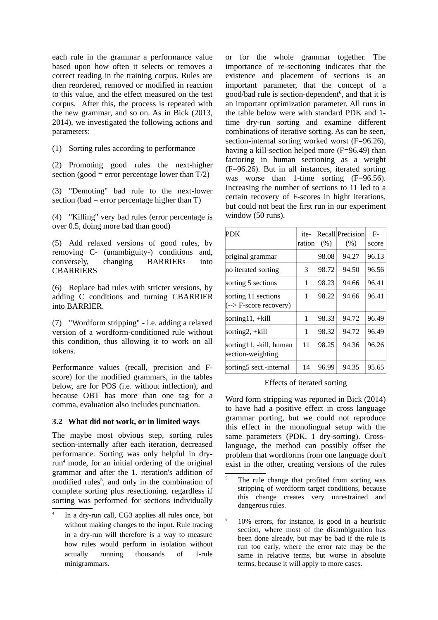each rule in the grammar a performance value based upon how often it selects or removes a correct reading in the training corpus. Rules are then reordered, removed or modified in reaction to this value, and the effect measured on the test corpus. After this, the process is repeated with the new grammar, and so on. As in Bick (2013, 2014), we investigated the following actions and parameters:

(1) Sorting rules according to performance

(2) Promoting good rules the next-higher section (good = error percentage lower than  $T/2$ )

(3) "Demoting" bad rule to the next-lower section (bad = error percentage higher than  $T$ )

(4) "Killing" very bad rules (error percentage is over 0.5, doing more bad than good)

(5) Add relaxed versions of good rules, by removing C- (unambiguity-) conditions and, conversely, changing BARRIERs into **CBARRIERS** 

(6) Replace bad rules with stricter versions, by adding C conditions and turning CBARRIER into BARRIER.

(7) "Wordform stripping" - i.e. adding a relaxed version of a wordform-conditioned rule without this condition, thus allowing it to work on all tokens.

Performance values (recall, precision and Fscore) for the modified grammars, in the tables below, are for POS (i.e. without inflection), and because OBT has more than one tag for a comma, evaluation also includes punctuation.

#### **3.2 What did not work, or in limited ways**

The maybe most obvious step, sorting rules section-internally after each iteration, decreased performance. Sorting was only helpful in dry-run<sup>[4](#page-2-0)</sup> mode, for an initial ordering of the original grammar and after the 1. iteration's addition of modified rules<sup>[5](#page-2-1)</sup>, and only in the combination of complete sorting plus resectioning. regardless if sorting was performed for sections individually or for the whole grammar together. The importance of re-sectioning indicates that the existence and placement of sections is an important parameter, that the concept of a good/bad rule is section-dependent<sup>[6](#page-2-2)</sup>, and that it is an important optimization parameter. All runs in the table below were with standard PDK and 1 time dry-run sorting and examine different combinations of iterative sorting. As can be seen, section-internal sorting worked worst (F=96.26), having a kill-section helped more (F=96.49) than factoring in human sectioning as a weight (F=96.26). But in all instances, iterated sorting was worse than 1-time sorting (F=96.56). Increasing the number of sections to 11 led to a certain recovery of F-scores in hight iterations, but could not beat the first run in our experiment window (50 runs).

| <b>PDK</b>                                     | ite-<br>ration | (%)   | <b>Recall Precision</b><br>(%) | F-<br>score |
|------------------------------------------------|----------------|-------|--------------------------------|-------------|
| original grammar                               |                | 98.08 | 94.27                          | 96.13       |
| no iterated sorting                            | З              | 98.72 | 94.50                          | 96.56       |
| sorting 5 sections                             | 1              | 98.23 | 94.66                          | 96.41       |
| sorting 11 sections<br>$(->$ F-score recovery) | 1              | 98.22 | 94.66                          | 96.41       |
| sorting $11, +$ kill                           | 1              | 98.33 | 94.72                          | 96.49       |
| sorting2, +kill                                | 1              | 98.32 | 94.72                          | 96.49       |
| sorting11, -kill, human<br>section-weighting   | 11             | 98.25 | 94.36                          | 96.26       |
| sorting <sub>5</sub> sect.-internal            | 14             | 96.99 | 94.35                          | 95.65       |

#### Effects of iterated sorting

Word form stripping was reported in Bick (2014) to have had a positive effect in cross language grammar porting, but we could not reproduce this effect in the monolingual setup with the same parameters (PDK, 1 dry-sorting). Crosslanguage, the method can possibly offset the problem that wordforms from one language don't exist in the other, creating versions of the rules

<span id="page-2-0"></span><sup>4</sup> In a dry-run call, CG3 applies all rules once, but without making changes to the input. Rule tracing in a dry-run will therefore is a way to measure how rules would perform in isolation without actually running thousands of 1-rule minigrammars.

<span id="page-2-1"></span>The rule change that profited from sorting was stripping of wordform target conditions, because this change creates very unrestrained and dangerous rules.

<span id="page-2-2"></span><sup>6</sup> 10% errors, for instance, is good in a heuristic section, where most of the disambiguation has been done already, but may be bad if the rule is run too early, where the error rate may be the same in relative terms, but worse in absolute terms, because it will apply to more cases.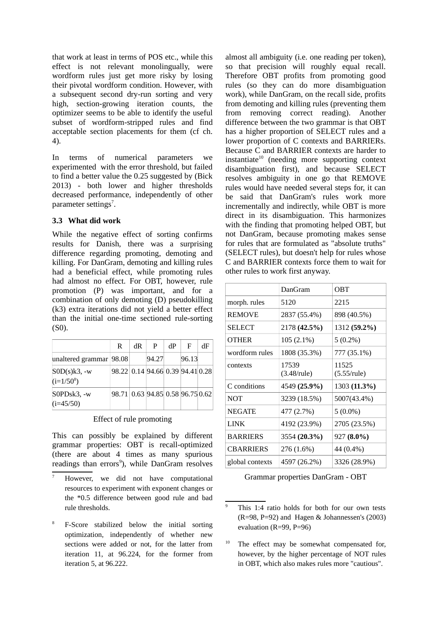that work at least in terms of POS etc., while this effect is not relevant monolingually, were wordform rules just get more risky by losing their pivotal wordform condition. However, with a subsequent second dry-run sorting and very high, section-growing iteration counts, the optimizer seems to be able to identify the useful subset of wordform-stripped rules and find acceptable section placements for them (cf ch. 4).

In terms of numerical parameters we experimented with the error threshold, but failed to find a better value the 0.25 suggested by (Bick 2013) - both lower and higher thresholds decreased performance, independently of other parameter settings<sup>[7](#page-3-0)</sup>.

#### **3.3 What did work**

While the negative effect of sorting confirms results for Danish, there was a surprising difference regarding promoting, demoting and killing. For DanGram, demoting and killing rules had a beneficial effect, while promoting rules had almost no effect. For OBT, however, rule promotion (P) was important, and for a combination of only demoting (D) pseudokilling (k3) extra iterations did not yield a better effect than the initial one-time sectioned rule-sorting (S0).

|                                 | R                                | dR | P     | dP | E     | dF |
|---------------------------------|----------------------------------|----|-------|----|-------|----|
| unaltered grammar   98.08       |                                  |    | 94.27 |    | 96.13 |    |
| $SOD(s)k3$ , -w<br>$(i=1/50^8)$ | 98.22 0.14 94.66 0.39 94.41 0.28 |    |       |    |       |    |
| S0PDsk3, -w<br>$(i=45/50)$      | 98.71 0.63 94.85 0.58 96.75 0.62 |    |       |    |       |    |

#### Effect of rule promoting

This can possibly be explained by different grammar properties: OBT is recall-optimized (there are about 4 times as many spurious readings than errors<sup>[9](#page-3-2)</sup>), while DanGram resolves

almost all ambiguity (i.e. one reading per token), so that precision will roughly equal recall. Therefore OBT profits from promoting good rules (so they can do more disambiguation work), while DanGram, on the recall side, profits from demoting and killing rules (preventing them from removing correct reading). Another difference between the two grammar is that OBT has a higher proportion of SELECT rules and a lower proportion of C contexts and BARRIERs. Because C and BARRIER contexts are harder to  $instantiate<sup>10</sup>$  $instantiate<sup>10</sup>$  $instantiate<sup>10</sup>$  (needing more supporting context disambiguation first), and because SELECT resolves ambiguity in one go that REMOVE rules would have needed several steps for, it can be said that DanGram's rules work more incrementally and indirectly, while OBT is more direct in its disambiguation. This harmonizes with the finding that promoting helped OBT, but not DanGram, because promoting makes sense for rules that are formulated as "absolute truths" (SELECT rules), but doesn't help for rules whose C and BARRIER contexts force them to wait for other rules to work first anyway.

|                  | DanGram                       | OBT                     |
|------------------|-------------------------------|-------------------------|
| morph. rules     | 5120                          | 2215                    |
| <b>REMOVE</b>    | 2837 (55.4%)                  | 898 (40.5%)             |
| <b>SELECT</b>    | 2178 (42.5%)                  | 1312 (59.2%)            |
| <b>OTHER</b>     | $105(2.1\%)$                  | $5(0.2\%)$              |
| wordform rules   | 1808 (35.3%)                  | 777 (35.1%)             |
| contexts         | 17539<br>$(3.48/\text{rule})$ | 11525<br>$(5.55$ /rule) |
| C conditions     | 4549 (25.9%)                  | 1303 (11.3%)            |
| NOT              | 3239 (18.5%)                  | 5007(43.4%)             |
| <b>NEGATE</b>    | 477 (2.7%)                    | $5(0.0\%)$              |
| <b>LINK</b>      | 4192 (23.9%)                  | 2705 (23.5%)            |
| <b>BARRIERS</b>  | 3554 (20.3%)                  | $927(8.0\%)$            |
| <b>CBARRIERS</b> | 276 (1.6%)                    | 44 (0.4%)               |
| global contexts  | 4597 (26.2%)                  | 3326 (28.9%)            |

Grammar properties DanGram - OBT

<span id="page-3-0"></span>However, we did not have computational resources to experiment with exponent changes or the \*0.5 difference between good rule and bad rule thresholds.

<span id="page-3-1"></span><sup>8</sup> F-Score stabilized below the initial sorting optimization, independently of whether new sections were added or not, for the latter from iteration 11, at 96.224, for the former from iteration 5, at 96.222.

<span id="page-3-2"></span><sup>&</sup>lt;sup>9</sup> This 1:4 ratio holds for both for our own tests (R=98, P=92) and Hagen & Johannessen's (2003) evaluation (R=99, P=96)

<span id="page-3-3"></span><sup>&</sup>lt;sup>10</sup> The effect may be somewhat compensated for, however, by the higher percentage of NOT rules in OBT, which also makes rules more "cautious".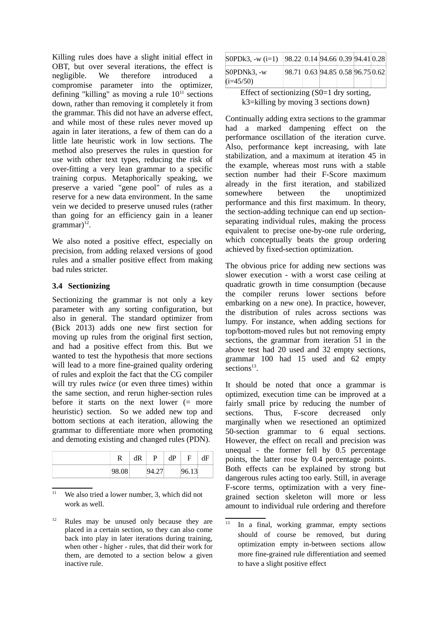Killing rules does have a slight initial effect in OBT, but over several iterations, the effect is negligible. We therefore introduced a compromise parameter into the optimizer, defining "killing" as moving a rule  $10^{11}$  $10^{11}$  $10^{11}$  sections down, rather than removing it completely it from the grammar. This did not have an adverse effect, and while most of these rules never moved up again in later iterations, a few of them can do a little late heuristic work in low sections. The method also preserves the rules in question for use with other text types, reducing the risk of over-fitting a very lean grammar to a specific training corpus. Metaphorically speaking, we preserve a varied "gene pool" of rules as a reserve for a new data environment. In the same vein we decided to preserve unused rules (rather than going for an efficiency gain in a leaner  $grammar)^{12}$  $grammar)^{12}$  $grammar)^{12}$ .

We also noted a positive effect, especially on precision, from adding relaxed versions of good rules and a smaller positive effect from making bad rules stricter.

## **3.4 Sectionizing**

Sectionizing the grammar is not only a key parameter with any sorting configuration, but also in general. The standard optimizer from (Bick 2013) adds one new first section for moving up rules from the original first section, and had a positive effect from this. But we wanted to test the hypothesis that more sections will lead to a more fine-grained quality ordering of rules and exploit the fact that the CG compiler will try rules *twice* (or even three times) within the same section, and rerun higher-section rules before it starts on the next lower  $(=$  more heuristic) section. So we added new top and bottom sections at each iteration, allowing the grammar to differentiate more when promoting and demoting existing and changed rules (PDN).

| רז    | dR | D   | dP | F              |  |
|-------|----|-----|----|----------------|--|
| 98.08 |    | −…… |    | QG 12<br>しい・エコ |  |

<span id="page-4-0"></span>We also tried a lower number, 3, which did not work as well.

<span id="page-4-1"></span><sup>12</sup> Rules may be unused only because they are placed in a certain section, so they can also come back into play in later iterations during training, when other - higher - rules, that did their work for them, are demoted to a section below a given inactive rule.

| S0PDk3, -w (i=1)                                 | 98.22 0.14 94.66 0.39 94.41 0.28 |  |  |  |  |  |  |
|--------------------------------------------------|----------------------------------|--|--|--|--|--|--|
| S0PDNk3. -w<br>$(i=45/50)$                       | 98.71 0.63 94.85 0.58 96.75 0.62 |  |  |  |  |  |  |
| $Fff$ ect of sectionizing $(S() = 1$ dry sorting |                                  |  |  |  |  |  |  |

Effect of sectionizing (S0=1 dry sorting, k3=killing by moving 3 sections down)

Continually adding extra sections to the grammar had a marked dampening effect on the performance oscillation of the iteration curve. Also, performance kept increasing, with late stabilization, and a maximum at iteration 45 in the example, whereas most runs with a stable section number had their F-Score maximum already in the first iteration, and stabilized somewhere between the unoptimized performance and this first maximum. In theory, the section-adding technique can end up sectionseparating individual rules, making the process equivalent to precise one-by-one rule ordering, which conceptually beats the group ordering achieved by fixed-section optimization.

The obvious price for adding new sections was slower execution - with a worst case ceiling at quadratic growth in time consumption (because the compiler reruns lower sections before embarking on a new one). In practice, however, the distribution of rules across sections was lumpy. For instance, when adding sections for top/bottom-moved rules but not removing empty sections, the grammar from iteration 51 in the above test had 20 used and 32 empty sections, grammar 100 had 15 used and 62 empty sections $^{13}$  $^{13}$  $^{13}$ .

It should be noted that once a grammar is optimized, execution time can be improved at a fairly small price by reducing the number of sections. Thus, F-score decreased only marginally when we resectioned an optimized 50-section grammar to 6 equal sections. However, the effect on recall and precision was unequal - the former fell by 0.5 percentage points, the latter rose by 0.4 percentage points. Both effects can be explained by strong but dangerous rules acting too early. Still, in average F-score terms, optimization with a very finegrained section skeleton will more or less amount to individual rule ordering and therefore

<span id="page-4-2"></span>In a final, working grammar, empty sections should of course be removed, but during optimization empty in-between sections allow more fine-grained rule differentiation and seemed to have a slight positive effect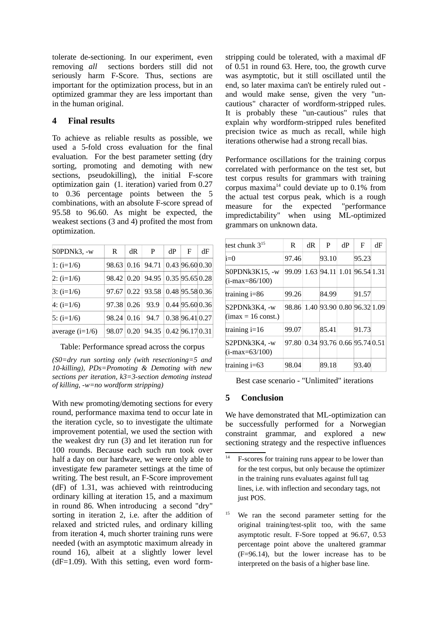tolerate de-sectioning. In our experiment, even removing *all* sections borders still did not seriously harm F-Score. Thus, sections are important for the optimization process, but in an optimized grammar they are less important than in the human original.

## **4 Final results**

To achieve as reliable results as possible, we used a 5-fold cross evaluation for the final evaluation. For the best parameter setting (dry sorting, promoting and demoting with new sections, pseudokilling), the initial F-score optimization gain (1. iteration) varied from 0.27 to 0.36 percentage points between the 5 combinations, with an absolute F-score spread of 95.58 to 96.60. As might be expected, the weakest sections (3 and 4) profited the most from optimization.

| S0PDNk3, -w       | R     | dR   | P                                        | dP | F               | dF |
|-------------------|-------|------|------------------------------------------|----|-----------------|----|
| 1: $(i=1/6)$      |       |      | 98.63 0.16 94.71 0.43 96.60 0.30         |    |                 |    |
| $2: (i=1/6)$      |       |      | 98.42 0.20 94.95 0.35 95.65 0.28         |    |                 |    |
| $3: (i=1/6)$      |       |      | 97.67   0.22   93.58   0.48   95.58 0.36 |    |                 |    |
| $4: (i=1/6)$      | 97.38 | 0.26 | 93.9                                     |    | 0.44 95.60 0.36 |    |
| 5: $(i=1/6)$      | 98.24 | 0.16 | $94.7 \pm 0.38\ 96.41\ 0.27$             |    |                 |    |
| average $(i=1/6)$ | 98.07 |      | $0.20$   94.35   0.42   96.17 0.31       |    |                 |    |

Table: Performance spread across the corpus

*(S0=dry run sorting only (with resectioning=5 and 10-killing), PDs=Promoting & Demoting with new sections per iteration, k3=3-section demoting instead of killing, -w=no wordform stripping)*

With new promoting/demoting sections for every round, performance maxima tend to occur late in the iteration cycle, so to investigate the ultimate improvement potential, we used the section with the weakest dry run (3) and let iteration run for 100 rounds. Because each such run took over half a day on our hardware, we were only able to investigate few parameter settings at the time of writing. The best result, an F-Score improvement (dF) of 1.31, was achieved with reintroducing ordinary killing at iteration 15, and a maximum in round 86. When introducing a second "dry" sorting in iteration 2, i.e. after the addition of relaxed and stricted rules, and ordinary killing from iteration 4, much shorter training runs were needed (with an asymptotic maximum already in round 16), albeit at a slightly lower level  $(dF=1.09)$ . With this setting, even word formstripping could be tolerated, with a maximal dF of 0.51 in round 63. Here, too, the growth curve was asymptotic, but it still oscillated until the end, so later maxima can't be entirely ruled out and would make sense, given the very "uncautious" character of wordform-stripped rules. It is probably these "un-cautious" rules that explain why wordform-stripped rules benefited precision twice as much as recall, while high iterations otherwise had a strong recall bias.

Performance oscillations for the training corpus correlated with performance on the test set, but test corpus results for grammars with training corpus maxima $^{14}$  $^{14}$  $^{14}$  could deviate up to 0.1% from the actual test corpus peak, which is a rough measure for the expected "performance impredictability" when using ML-optimized grammars on unknown data.

| test chunk $3^{15}$                  | R     | dR | P                                | dР | F     | dF |
|--------------------------------------|-------|----|----------------------------------|----|-------|----|
| $i=0$                                | 97.46 |    | 93.10                            |    | 95.23 |    |
| S0PDNk3K15, -w<br>$(i$ -max=86/100)  | 99.09 |    | 1.63 94.11 1.01 96.54 1.31       |    |       |    |
| training $i=86$                      | 99.26 |    | 84.99                            |    | 91.57 |    |
| S2PDNk3K4, -w<br>$(max = 16 const.)$ | 98.86 |    | 1.40 93.90 0.80 96.32 1.09       |    |       |    |
| training $i=16$                      | 99.07 |    | 85.41                            |    | 91.73 |    |
| S2PDNk3K4, -w<br>$(i$ -max=63/100)   |       |    | 97.80 0.34 93.76 0.66 95.74 0.51 |    |       |    |
| training $i=63$                      | 98.04 |    | 89.18                            |    | 93.40 |    |

Best case scenario - "Unlimited" iterations

# **5 Conclusion**

We have demonstrated that ML-optimization can be successfully performed for a Norwegian constraint grammar, and explored a new sectioning strategy and the respective influences

<span id="page-5-0"></span> $14$  F-scores for training runs appear to be lower than for the test corpus, but only because the optimizer in the training runs evaluates against full tag lines, i.e. with inflection and secondary tags, not just POS.

<span id="page-5-1"></span> $15$  We ran the second parameter setting for the original training/test-split too, with the same asymptotic result. F-Sore topped at 96.67, 0.53 percentage point above the unaltered grammar (F=96.14), but the lower increase has to be interpreted on the basis of a higher base line.